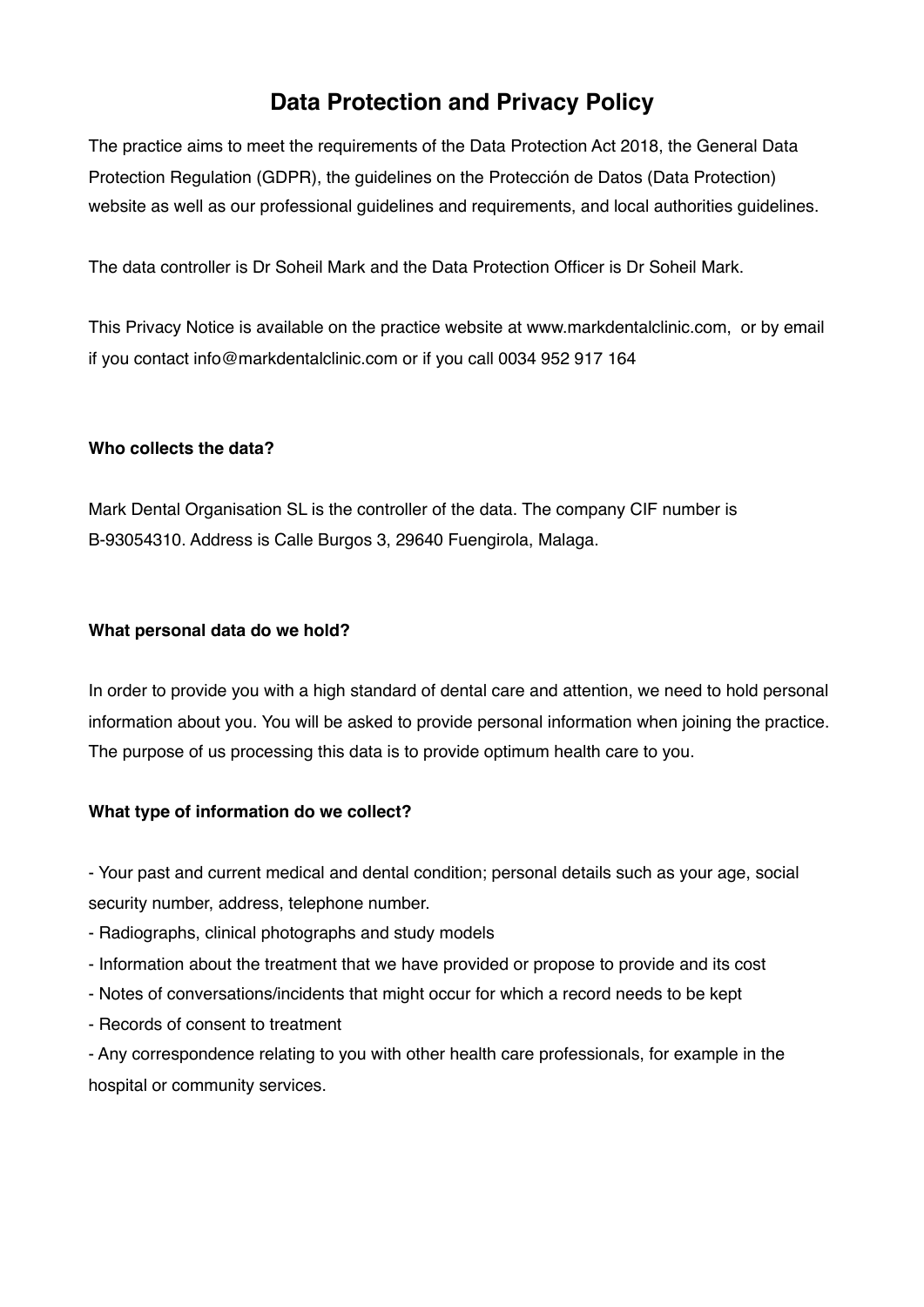# **Data Protection and Privacy Policy**

The practice aims to meet the requirements of the Data Protection Act 2018, the General Data Protection Regulation (GDPR), the guidelines on the Protección de Datos (Data Protection) website as well as our professional guidelines and requirements, and local authorities guidelines.

The data controller is Dr Soheil Mark and the Data Protection Officer is Dr Soheil Mark.

This Privacy Notice is available on the practice website at [www.markdentalclinic.com](http://www.markdentalclinic.com), or by email if you contact [info@markdentalclinic.com](mailto:info@markdentalclinic.com) or if you call 0034 952 917 164

#### **Who collects the data?**

Mark Dental Organisation SL is the controller of the data. The company CIF number is B-93054310. Address is Calle Burgos 3, 29640 Fuengirola, Malaga.

#### **What personal data do we hold?**

In order to provide you with a high standard of dental care and attention, we need to hold personal information about you. You will be asked to provide personal information when joining the practice. The purpose of us processing this data is to provide optimum health care to you.

### **What type of information do we collect?**

- Your past and current medical and dental condition; personal details such as your age, social security number, address, telephone number.

- Radiographs, clinical photographs and study models
- Information about the treatment that we have provided or propose to provide and its cost
- Notes of conversations/incidents that might occur for which a record needs to be kept
- Records of consent to treatment

- Any correspondence relating to you with other health care professionals, for example in the hospital or community services.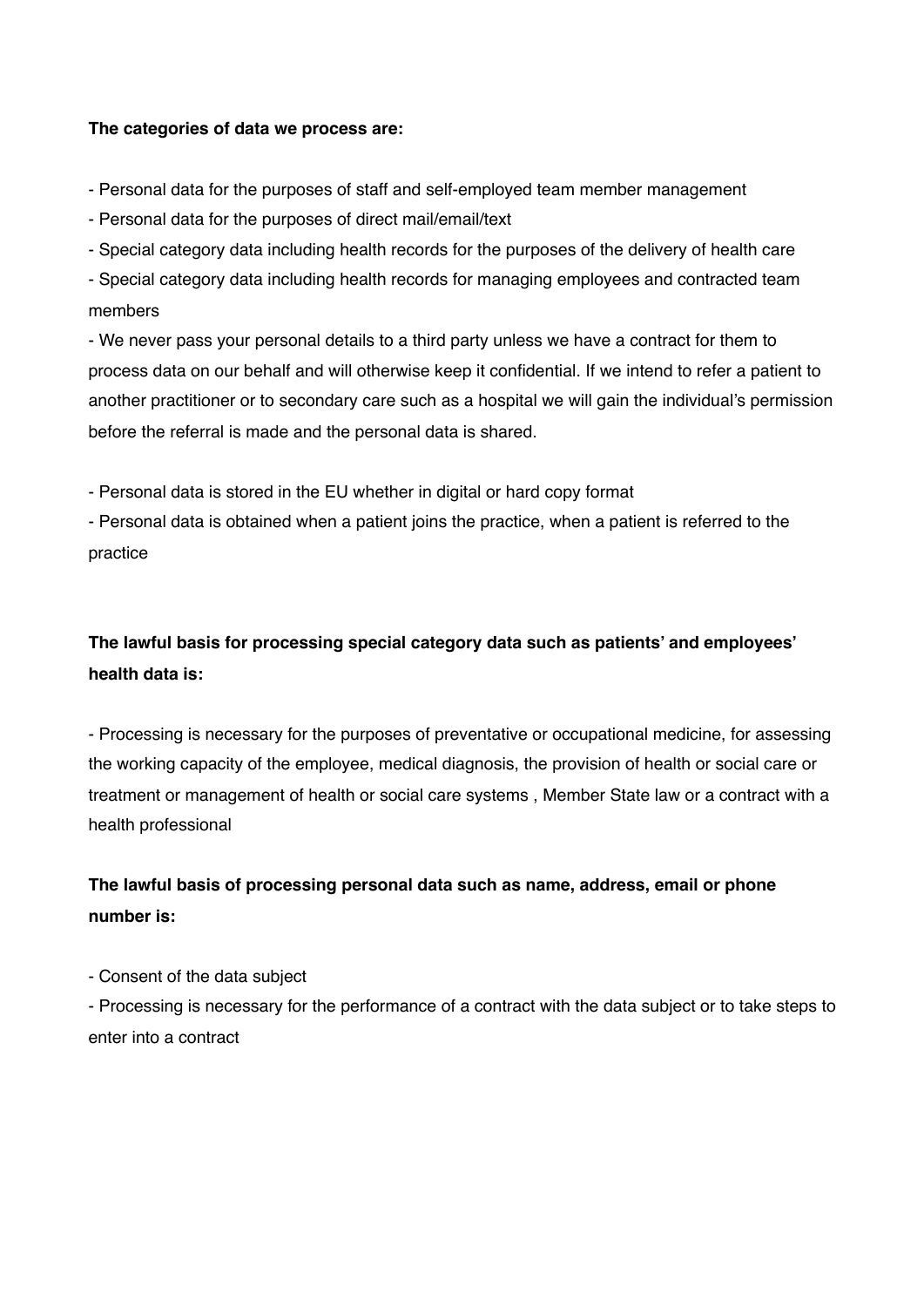#### **The categories of data we process are:**

- Personal data for the purposes of staff and self-employed team member management

- Personal data for the purposes of direct mail/email/text

- Special category data including health records for the purposes of the delivery of health care

- Special category data including health records for managing employees and contracted team members

- We never pass your personal details to a third party unless we have a contract for them to process data on our behalf and will otherwise keep it confidential. If we intend to refer a patient to another practitioner or to secondary care such as a hospital we will gain the individual's permission before the referral is made and the personal data is shared.

- Personal data is stored in the EU whether in digital or hard copy format

- Personal data is obtained when a patient joins the practice, when a patient is referred to the practice

# **The lawful basis for processing special category data such as patients' and employees' health data is:**

- Processing is necessary for the purposes of preventative or occupational medicine, for assessing the working capacity of the employee, medical diagnosis, the provision of health or social care or treatment or management of health or social care systems , Member State law or a contract with a health professional

## **The lawful basis of processing personal data such as name, address, email or phone number is:**

- Consent of the data subject

- Processing is necessary for the performance of a contract with the data subject or to take steps to enter into a contract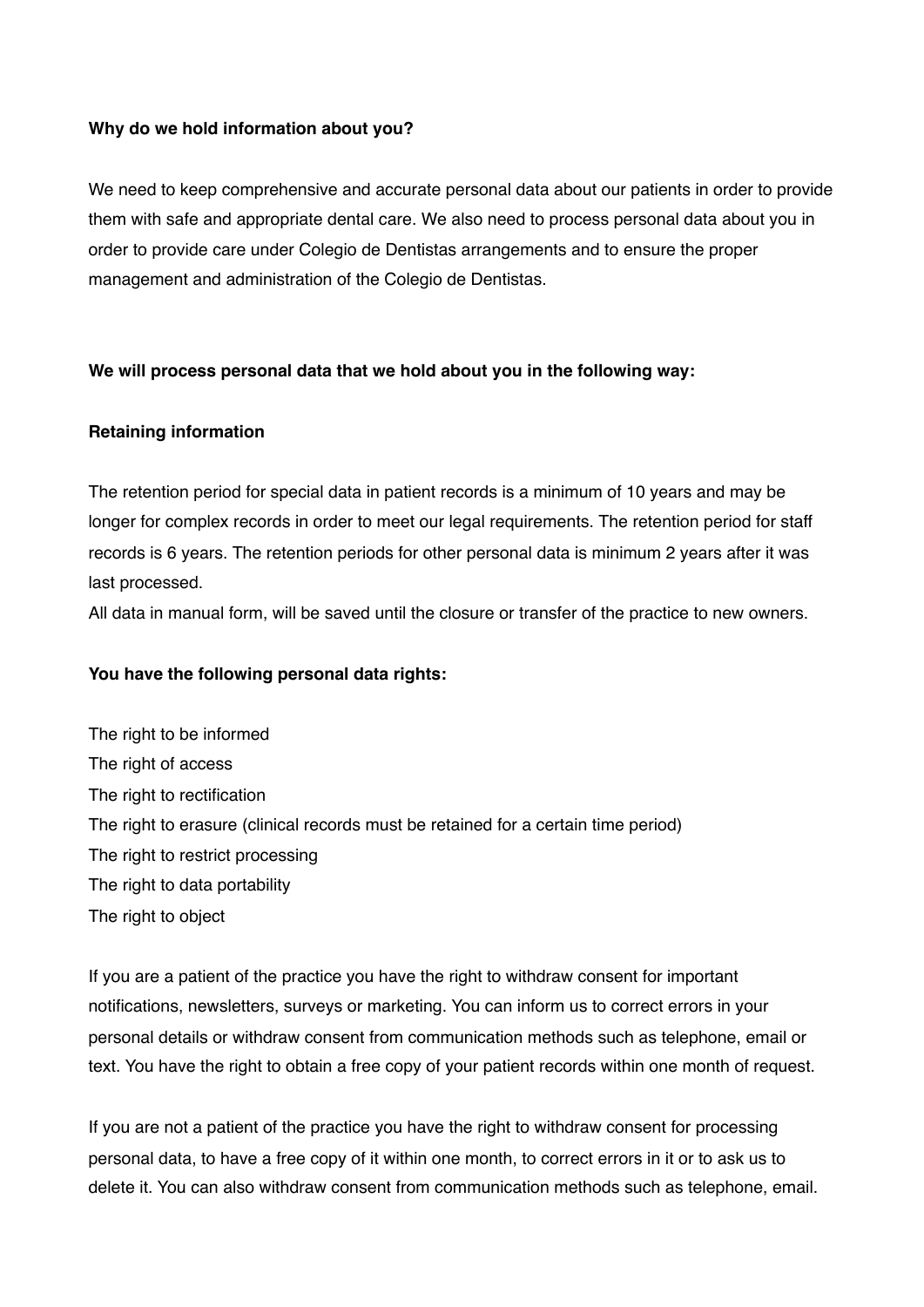#### **Why do we hold information about you?**

We need to keep comprehensive and accurate personal data about our patients in order to provide them with safe and appropriate dental care. We also need to process personal data about you in order to provide care under Colegio de Dentistas arrangements and to ensure the proper management and administration of the Colegio de Dentistas.

#### **We will process personal data that we hold about you in the following way:**

#### **Retaining information**

The retention period for special data in patient records is a minimum of 10 years and may be longer for complex records in order to meet our legal requirements. The retention period for staff records is 6 years. The retention periods for other personal data is minimum 2 years after it was last processed.

All data in manual form, will be saved until the closure or transfer of the practice to new owners.

#### **You have the following personal data rights:**

The right to be informed The right of access The right to rectification The right to erasure (clinical records must be retained for a certain time period) The right to restrict processing The right to data portability The right to object

If you are a patient of the practice you have the right to withdraw consent for important notifications, newsletters, surveys or marketing. You can inform us to correct errors in your personal details or withdraw consent from communication methods such as telephone, email or text. You have the right to obtain a free copy of your patient records within one month of request.

If you are not a patient of the practice you have the right to withdraw consent for processing personal data, to have a free copy of it within one month, to correct errors in it or to ask us to delete it. You can also withdraw consent from communication methods such as telephone, email.